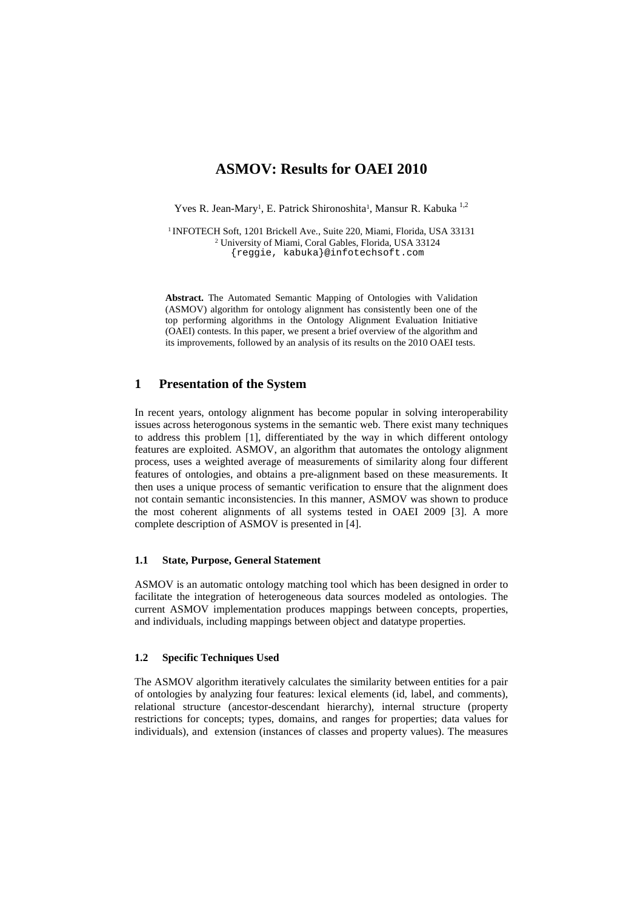# **ASMOV: Results for OAEI 2010**

Yves R. Jean-Mary<sup>1</sup>, E. Patrick Shironoshita<sup>1</sup>, Mansur R. Kabuka<sup>1,2</sup>

<sup>1</sup> INFOTECH Soft, 1201 Brickell Ave., Suite 220, Miami, Florida, USA 33131 <sup>2</sup> University of Miami, Coral Gables, Florida, USA 33124 {reggie, kabuka}@infotechsoft.com

**Abstract.** The Automated Semantic Mapping of Ontologies with Validation (ASMOV) algorithm for ontology alignment has consistently been one of the top performing algorithms in the Ontology Alignment Evaluation Initiative (OAEI) contests. In this paper, we present a brief overview of the algorithm and its improvements, followed by an analysis of its results on the 2010 OAEI tests.

# **1 Presentation of the System**

In recent years, ontology alignment has become popular in solving interoperability issues across heterogonous systems in the semantic web. There exist many techniques to address this problem [\[1\]](#page-7-0), differentiated by the way in which different ontology features are exploited. ASMOV, an algorithm that automates the ontology alignment process, uses a weighted average of measurements of similarity along four different features of ontologies, and obtains a pre-alignment based on these measurements. It then uses a unique process of semantic verification to ensure that the alignment does not contain semantic inconsistencies. In this manner, ASMOV was shown to produce the most coherent alignments of all systems tested in OAEI 2009 [\[3\]](#page-7-1). A more complete description of ASMOV is presented in [\[4\]](#page-7-2).

# **1.1 State, Purpose, General Statement**

ASMOV is an automatic ontology matching tool which has been designed in order to facilitate the integration of heterogeneous data sources modeled as ontologies. The current ASMOV implementation produces mappings between concepts, properties, and individuals, including mappings between object and datatype properties.

# **1.2 Specific Techniques Used**

The ASMOV algorithm iteratively calculates the similarity between entities for a pair of ontologies by analyzing four features: lexical elements (id, label, and comments), relational structure (ancestor-descendant hierarchy), internal structure (property restrictions for concepts; types, domains, and ranges for properties; data values for individuals), and extension (instances of classes and property values). The measures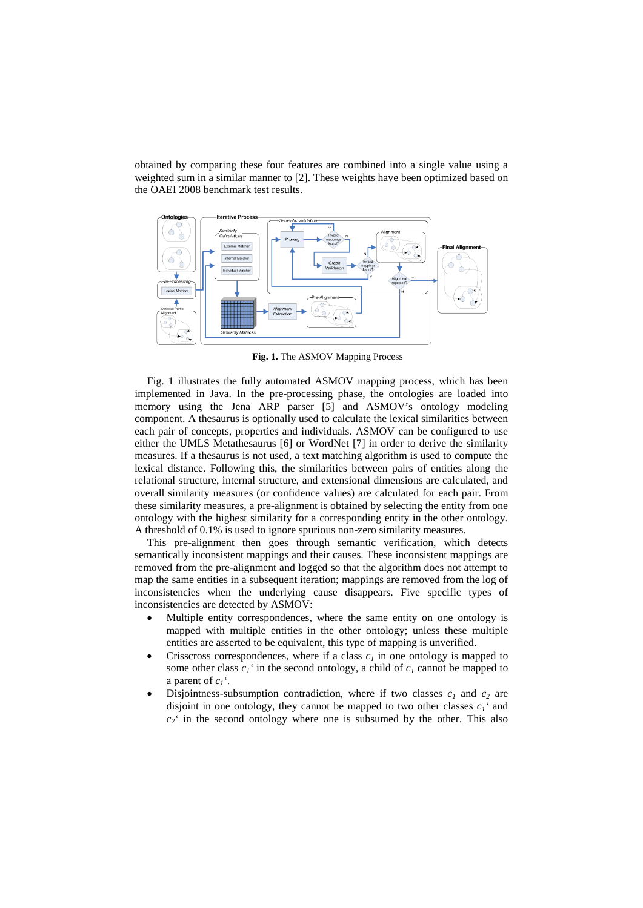obtained by comparing these four features are combined into a single value using a weighted sum in a similar manner to [\[2\]](#page-7-3). These weights have been optimized based on the OAEI 2008 benchmark test results.



**Fig. 1.** The ASMOV Mapping Process

<span id="page-1-0"></span>[Fig. 1](#page-1-0) illustrates the fully automated ASMOV mapping process, which has been implemented in Java. In the pre-processing phase, the ontologies are loaded into memory using the Jena ARP parser [\[5\]](#page-7-4) and ASMOV's ontology modeling component. A thesaurus is optionally used to calculate the lexical similarities between each pair of concepts, properties and individuals. ASMOV can be configured to use either the UMLS Metathesaurus [\[6\]](#page-7-5) or WordNet [\[7\]](#page-7-6) in order to derive the similarity measures. If a thesaurus is not used, a text matching algorithm is used to compute the lexical distance. Following this, the similarities between pairs of entities along the relational structure, internal structure, and extensional dimensions are calculated, and overall similarity measures (or confidence values) are calculated for each pair. From these similarity measures, a pre-alignment is obtained by selecting the entity from one ontology with the highest similarity for a corresponding entity in the other ontology. A threshold of 0.1% is used to ignore spurious non-zero similarity measures.

This pre-alignment then goes through semantic verification, which detects semantically inconsistent mappings and their causes. These inconsistent mappings are removed from the pre-alignment and logged so that the algorithm does not attempt to map the same entities in a subsequent iteration; mappings are removed from the log of inconsistencies when the underlying cause disappears. Five specific types of inconsistencies are detected by ASMOV:

- Multiple entity correspondences, where the same entity on one ontology is mapped with multiple entities in the other ontology; unless these multiple entities are asserted to be equivalent, this type of mapping is unverified.
- Crisscross correspondences, where if a class  $c<sub>l</sub>$  in one ontology is mapped to some other class  $c_1$ <sup>*'*</sup> in the second ontology, a child of  $c_1$  cannot be mapped to a parent of *c1'*.
- Disjointness-subsumption contradiction, where if two classes  $c_1$  and  $c_2$  are disjoint in one ontology, they cannot be mapped to two other classes  $c_1$ <sup> $\cdot$ </sup> and *c2'* in the second ontology where one is subsumed by the other. This also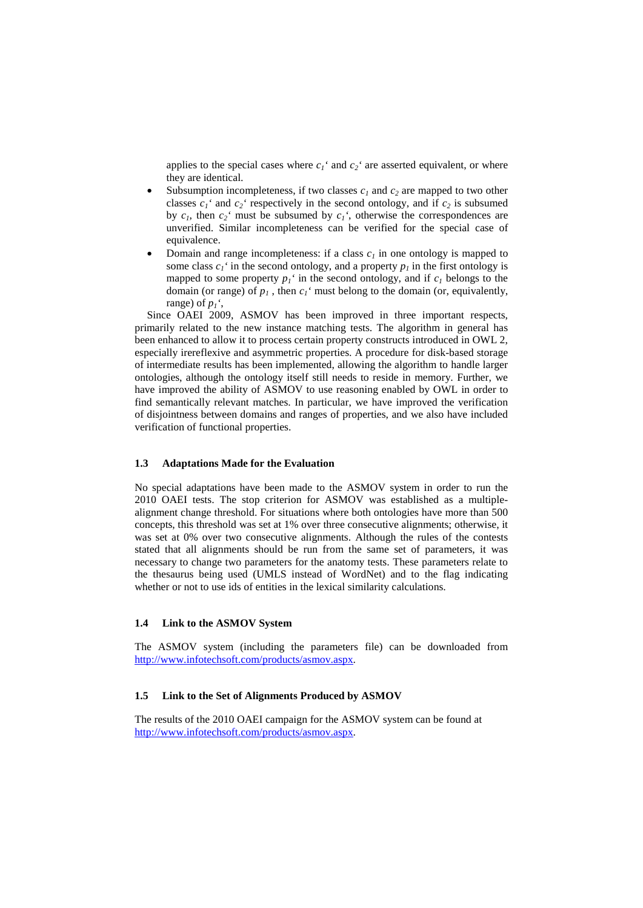applies to the special cases where  $c_1$ <sup> $\cdot$ </sup> and  $c_2$ <sup> $\cdot$ </sup> are asserted equivalent, or where they are identical.

- Subsumption incompleteness, if two classes  $c_1$  and  $c_2$  are mapped to two other classes  $c_1$ <sup>*c*</sup> and  $c_2$ <sup>*c*</sup> respectively in the second ontology, and if  $c_2$  is subsumed by  $c_1$ , then  $c_2$ <sup>'</sup> must be subsumed by  $c_1$ <sup>'</sup>, otherwise the correspondences are unverified. Similar incompleteness can be verified for the special case of equivalence.
- Domain and range incompleteness: if a class  $c<sub>l</sub>$  in one ontology is mapped to some class  $c_1$ <sup>'</sup> in the second ontology, and a property  $p_1$  in the first ontology is mapped to some property  $p_l$ <sup>'</sup> in the second ontology, and if  $c_l$  belongs to the domain (or range) of  $p_1$ , then  $c_1$ <sup>'</sup> must belong to the domain (or, equivalently, range) of  $p_1'$ ,

Since OAEI 2009, ASMOV has been improved in three important respects, primarily related to the new instance matching tests. The algorithm in general has been enhanced to allow it to process certain property constructs introduced in OWL 2, especially irereflexive and asymmetric properties. A procedure for disk-based storage of intermediate results has been implemented, allowing the algorithm to handle larger ontologies, although the ontology itself still needs to reside in memory. Further, we have improved the ability of ASMOV to use reasoning enabled by OWL in order to find semantically relevant matches. In particular, we have improved the verification of disjointness between domains and ranges of properties, and we also have included verification of functional properties.

#### **1.3 Adaptations Made for the Evaluation**

No special adaptations have been made to the ASMOV system in order to run the 2010 OAEI tests. The stop criterion for ASMOV was established as a multiplealignment change threshold. For situations where both ontologies have more than 500 concepts, this threshold was set at 1% over three consecutive alignments; otherwise, it was set at 0% over two consecutive alignments. Although the rules of the contests stated that all alignments should be run from the same set of parameters, it was necessary to change two parameters for the anatomy tests. These parameters relate to the thesaurus being used (UMLS instead of WordNet) and to the flag indicating whether or not to use ids of entities in the lexical similarity calculations.

### **1.4 Link to the ASMOV System**

The ASMOV system (including the parameters file) can be downloaded from [http://www.infotechsoft.com/products/asmov.aspx.](http://www.infotechsoft.com/products/asmov.aspx)

### **1.5 Link to the Set of Alignments Produced by ASMOV**

The results of the 2010 OAEI campaign for the ASMOV system can be found at [http://www.infotechsoft.com/products/asmov.aspx.](http://www.infotechsoft.com/products/asmov.aspx)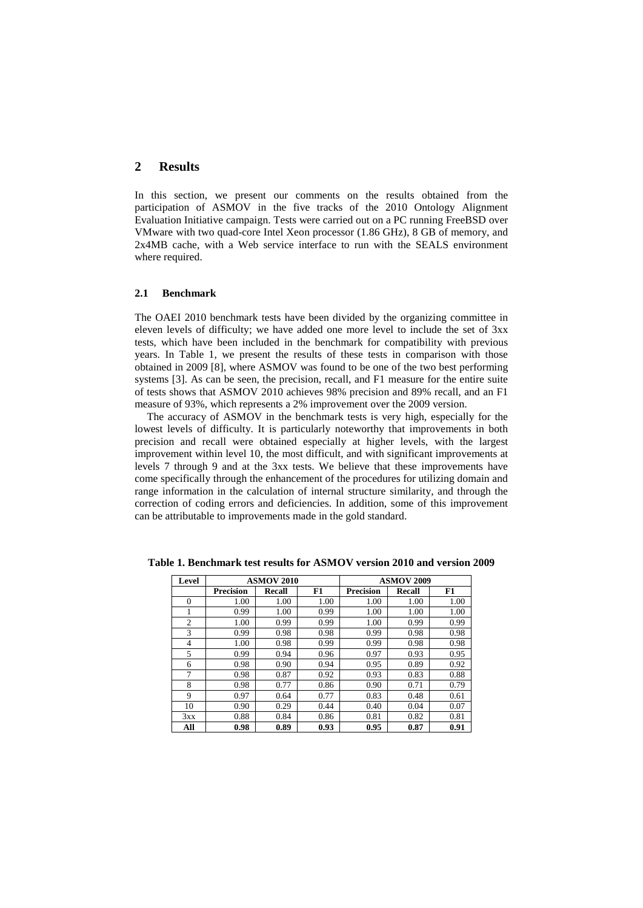# **2 Results**

In this section, we present our comments on the results obtained from the participation of ASMOV in the five tracks of the 2010 Ontology Alignment Evaluation Initiative campaign. Tests were carried out on a PC running FreeBSD over VMware with two quad-core Intel Xeon processor (1.86 GHz), 8 GB of memory, and 2x4MB cache, with a Web service interface to run with the SEALS environment where required.

#### **2.1 Benchmark**

The OAEI 2010 benchmark tests have been divided by the organizing committee in eleven levels of difficulty; we have added one more level to include the set of 3xx tests, which have been included in the benchmark for compatibility with previous years. In [Table 1,](#page-3-0) we present the results of these tests in comparison with those obtained in 2009 [\[8\]](#page-7-7), where ASMOV was found to be one of the two best performing systems [\[3\]](#page-7-1). As can be seen, the precision, recall, and F1 measure for the entire suite of tests shows that ASMOV 2010 achieves 98% precision and 89% recall, and an F1 measure of 93%, which represents a 2% improvement over the 2009 version.

The accuracy of ASMOV in the benchmark tests is very high, especially for the lowest levels of difficulty. It is particularly noteworthy that improvements in both precision and recall were obtained especially at higher levels, with the largest improvement within level 10, the most difficult, and with significant improvements at levels 7 through 9 and at the 3xx tests. We believe that these improvements have come specifically through the enhancement of the procedures for utilizing domain and range information in the calculation of internal structure similarity, and through the correction of coding errors and deficiencies. In addition, some of this improvement can be attributable to improvements made in the gold standard.

| Level          |                  | <b>ASMOV 2010</b> |      | <b>ASMOV 2009</b> |               |      |  |
|----------------|------------------|-------------------|------|-------------------|---------------|------|--|
|                | <b>Precision</b> | Recall            | F1   | <b>Precision</b>  | <b>Recall</b> | F1   |  |
| $\Omega$       | 1.00             | 1.00              | 1.00 | 1.00              | 1.00          | 1.00 |  |
|                | 0.99             | 1.00              | 0.99 | 1.00              | 1.00          | 1.00 |  |
| $\overline{2}$ | 1.00             | 0.99              | 0.99 | 1.00              | 0.99          | 0.99 |  |
| 3              | 0.99             | 0.98              | 0.98 | 0.99              | 0.98          | 0.98 |  |
| 4              | 1.00             | 0.98              | 0.99 | 0.99              | 0.98          | 0.98 |  |
| 5              | 0.99             | 0.94              | 0.96 | 0.97              | 0.93          | 0.95 |  |
| 6              | 0.98             | 0.90              | 0.94 | 0.95              | 0.89          | 0.92 |  |
| 7              | 0.98             | 0.87              | 0.92 | 0.93              | 0.83          | 0.88 |  |
| 8              | 0.98             | 0.77              | 0.86 | 0.90              | 0.71          | 0.79 |  |
| 9              | 0.97             | 0.64              | 0.77 | 0.83              | 0.48          | 0.61 |  |
| 10             | 0.90             | 0.29              | 0.44 | 0.40              | 0.04          | 0.07 |  |
| 3xx            | 0.88             | 0.84              | 0.86 | 0.81              | 0.82          | 0.81 |  |
| All            | 0.98             | 0.89              | 0.93 | 0.95              | 0.87          | 0.91 |  |

<span id="page-3-0"></span>**Table 1. Benchmark test results for ASMOV version 2010 and version 2009**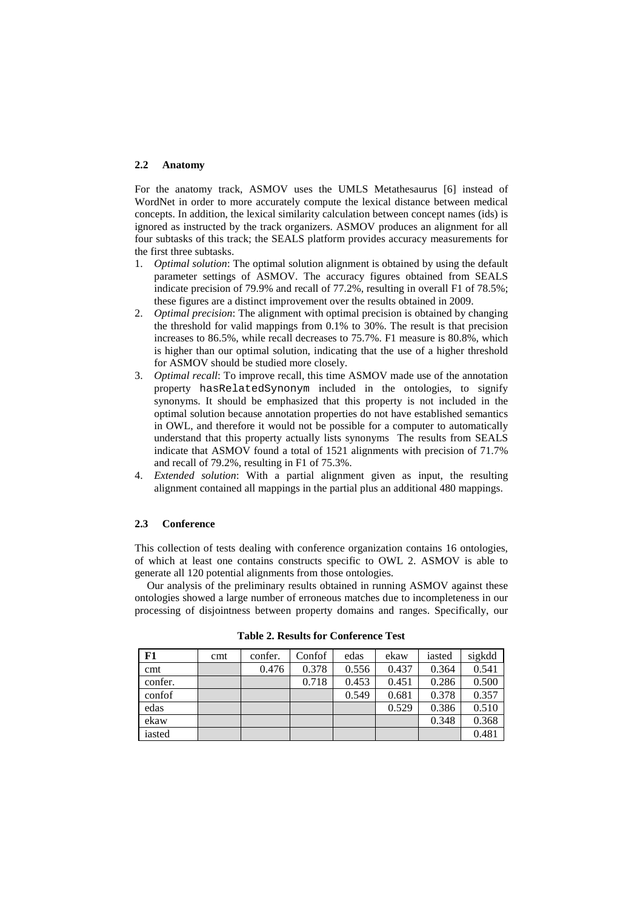### **2.2 Anatomy**

For the anatomy track, ASMOV uses the UMLS Metathesaurus [\[6\]](#page-7-5) instead of WordNet in order to more accurately compute the lexical distance between medical concepts. In addition, the lexical similarity calculation between concept names (ids) is ignored as instructed by the track organizers. ASMOV produces an alignment for all four subtasks of this track; the SEALS platform provides accuracy measurements for the first three subtasks.

- 1. *Optimal solution*: The optimal solution alignment is obtained by using the default parameter settings of ASMOV. The accuracy figures obtained from SEALS indicate precision of 79.9% and recall of 77.2%, resulting in overall F1 of 78.5%; these figures are a distinct improvement over the results obtained in 2009.
- 2. *Optimal precision*: The alignment with optimal precision is obtained by changing the threshold for valid mappings from 0.1% to 30%. The result is that precision increases to 86.5%, while recall decreases to 75.7%. F1 measure is 80.8%, which is higher than our optimal solution, indicating that the use of a higher threshold for ASMOV should be studied more closely.
- 3. *Optimal recall*: To improve recall, this time ASMOV made use of the annotation property hasRelatedSynonym included in the ontologies, to signify synonyms. It should be emphasized that this property is not included in the optimal solution because annotation properties do not have established semantics in OWL, and therefore it would not be possible for a computer to automatically understand that this property actually lists synonyms The results from SEALS indicate that ASMOV found a total of 1521 alignments with precision of 71.7% and recall of 79.2%, resulting in F1 of 75.3%.
- 4. *Extended solution*: With a partial alignment given as input, the resulting alignment contained all mappings in the partial plus an additional 480 mappings.

#### **2.3 Conference**

This collection of tests dealing with conference organization contains 16 ontologies, of which at least one contains constructs specific to OWL 2. ASMOV is able to generate all 120 potential alignments from those ontologies.

Our analysis of the preliminary results obtained in running ASMOV against these ontologies showed a large number of erroneous matches due to incompleteness in our processing of disjointness between property domains and ranges. Specifically, our

<span id="page-4-0"></span>

| F1      | cmt | confer. | Confof | edas  | ekaw  | iasted | sigkdd |
|---------|-----|---------|--------|-------|-------|--------|--------|
| cmt     |     | 0.476   | 0.378  | 0.556 | 0.437 | 0.364  | 0.541  |
| confer. |     |         | 0.718  | 0.453 | 0.451 | 0.286  | 0.500  |
| confof  |     |         |        | 0.549 | 0.681 | 0.378  | 0.357  |
| edas    |     |         |        |       | 0.529 | 0.386  | 0.510  |
| ekaw    |     |         |        |       |       | 0.348  | 0.368  |
| iasted  |     |         |        |       |       |        | 0.481  |

**Table 2. Results for Conference Test**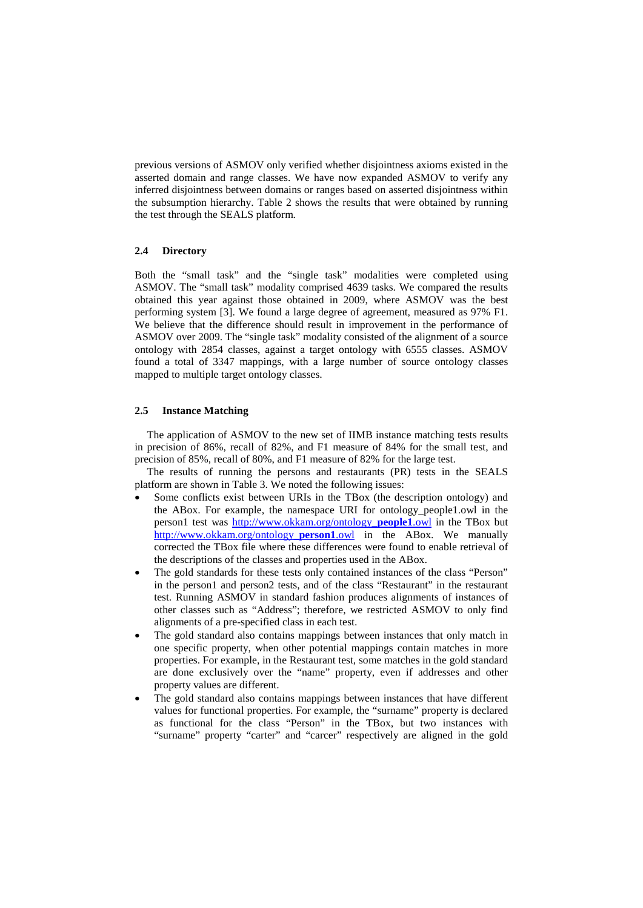previous versions of ASMOV only verified whether disjointness axioms existed in the asserted domain and range classes. We have now expanded ASMOV to verify any inferred disjointness between domains or ranges based on asserted disjointness within the subsumption hierarchy. [Table 2](#page-4-0) shows the results that were obtained by running the test through the SEALS platform.

# **2.4 Directory**

Both the "small task" and the "single task" modalities were completed using ASMOV. The "small task" modality comprised 4639 tasks. We compared the results obtained this year against those obtained in 2009, where ASMOV was the best performing system [\[3\]](#page-7-1). We found a large degree of agreement, measured as 97% F1. We believe that the difference should result in improvement in the performance of ASMOV over 2009. The "single task" modality consisted of the alignment of a source ontology with 2854 classes, against a target ontology with 6555 classes. ASMOV found a total of 3347 mappings, with a large number of source ontology classes mapped to multiple target ontology classes.

# **2.5 Instance Matching**

The application of ASMOV to the new set of IIMB instance matching tests results in precision of 86%, recall of 82%, and F1 measure of 84% for the small test, and precision of 85%, recall of 80%, and F1 measure of 82% for the large test.

The results of running the persons and restaurants (PR) tests in the SEALS platform are shown in [Table 3.](#page-6-0) We noted the following issues:

- Some conflicts exist between URIs in the TBox (the description ontology) and the ABox. For example, the namespace URI for ontology\_people1.owl in the person1 test was [http://www.okkam.org/ontology\\_](http://www.okkam.org/ontology_people1.owl)**people1**.owl in the TBox but [http://www.okkam.org/ontology\\_](http://www.okkam.org/ontology_person1.owl)**person1**.owl in the ABox. We manually corrected the TBox file where these differences were found to enable retrieval of the descriptions of the classes and properties used in the ABox.
- The gold standards for these tests only contained instances of the class "Person" in the person1 and person2 tests, and of the class "Restaurant" in the restaurant test. Running ASMOV in standard fashion produces alignments of instances of other classes such as "Address"; therefore, we restricted ASMOV to only find alignments of a pre-specified class in each test.
- The gold standard also contains mappings between instances that only match in one specific property, when other potential mappings contain matches in more properties. For example, in the Restaurant test, some matches in the gold standard are done exclusively over the "name" property, even if addresses and other property values are different.
- The gold standard also contains mappings between instances that have different values for functional properties. For example, the "surname" property is declared as functional for the class "Person" in the TBox, but two instances with "surname" property "carter" and "carcer" respectively are aligned in the gold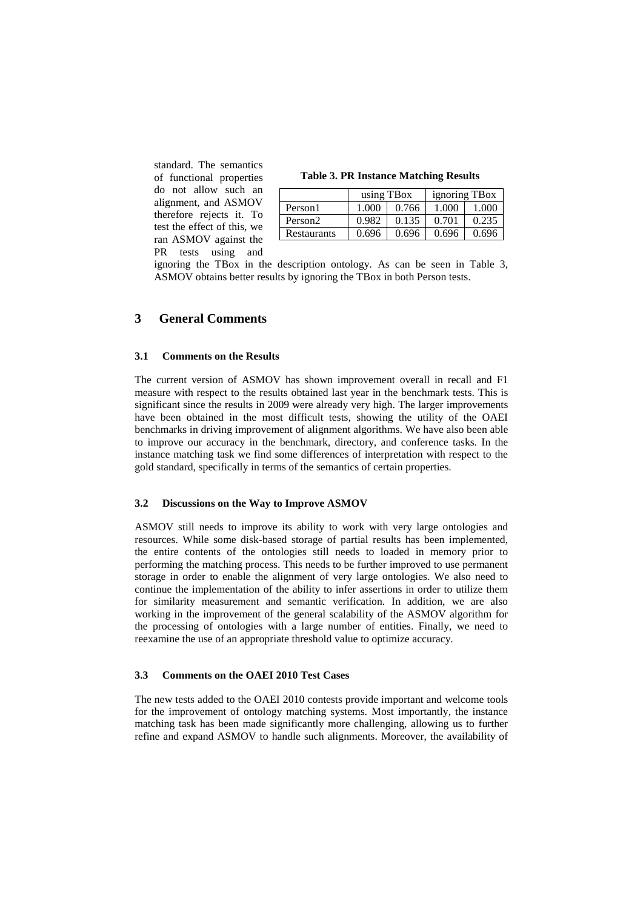standard. The semantics of functional properties do not allow such an alignment, and ASMOV therefore rejects it. To test the effect of this, we ran ASMOV against the PR tests using and

**Table 3. PR Instance Matching Results**

<span id="page-6-0"></span>

|                     | using TBox |       | ignoring TBox |       |  |
|---------------------|------------|-------|---------------|-------|--|
| Person1             | 1.000      | 0.766 | 1.000         | 1.000 |  |
| Person <sub>2</sub> | 0.982      | 0.135 | 0.701         | 0.235 |  |
| Restaurants         | 0.696      | 0.696 | በ 696         | 0.696 |  |

ignoring the TBox in the description ontology. As can be seen in [Table 3,](#page-6-0) ASMOV obtains better results by ignoring the TBox in both Person tests.

# **3 General Comments**

#### **3.1 Comments on the Results**

The current version of ASMOV has shown improvement overall in recall and F1 measure with respect to the results obtained last year in the benchmark tests. This is significant since the results in 2009 were already very high. The larger improvements have been obtained in the most difficult tests, showing the utility of the OAEI benchmarks in driving improvement of alignment algorithms. We have also been able to improve our accuracy in the benchmark, directory, and conference tasks. In the instance matching task we find some differences of interpretation with respect to the gold standard, specifically in terms of the semantics of certain properties.

# **3.2 Discussions on the Way to Improve ASMOV**

ASMOV still needs to improve its ability to work with very large ontologies and resources. While some disk-based storage of partial results has been implemented, the entire contents of the ontologies still needs to loaded in memory prior to performing the matching process. This needs to be further improved to use permanent storage in order to enable the alignment of very large ontologies. We also need to continue the implementation of the ability to infer assertions in order to utilize them for similarity measurement and semantic verification. In addition, we are also working in the improvement of the general scalability of the ASMOV algorithm for the processing of ontologies with a large number of entities. Finally, we need to reexamine the use of an appropriate threshold value to optimize accuracy.

#### **3.3 Comments on the OAEI 2010 Test Cases**

The new tests added to the OAEI 2010 contests provide important and welcome tools for the improvement of ontology matching systems. Most importantly, the instance matching task has been made significantly more challenging, allowing us to further refine and expand ASMOV to handle such alignments. Moreover, the availability of